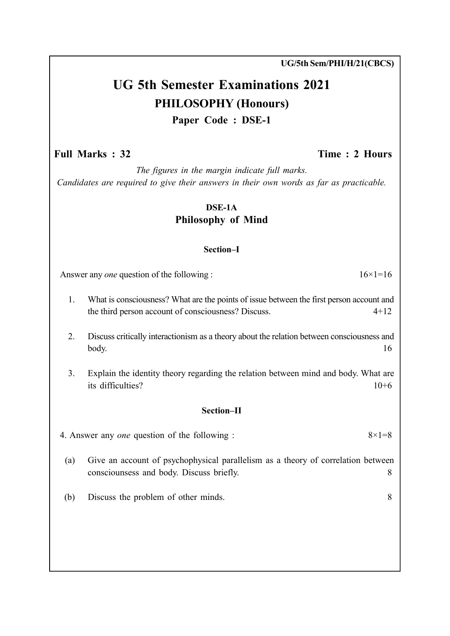UG 5th Semester Examinations 2021

PHILOSOPHY (Honours)

Paper Code : DSE-1

# Full Marks : 32 Time : 2 Hours

UG/5th Sem/PHI/H/21(CBCS)

The figures in the margin indicate full marks. Candidates are required to give their answers in their own words as far as practicable.

## DSE-1A Philosophy of Mind

## Section–I

Answer any *one* question of the following :  $16 \times 1 = 16$ 

- 1. What is consciousness? What are the points of issue between the first person account and the third person account of consciousness? Discuss. 4+12
- 2. Discuss critically interactionism as a theory about the relation between consciousness and body. 16
- 3. Explain the identity theory regarding the relation between mind and body. What are its difficulties? 10+6

### Section–II

4. Answer any one question of the following :  $8 \times 1 = 8$ 

- (a) Give an account of psychophysical parallelism as a theory of correlation between consciounsess and body. Discuss briefly. 8
- (b) Discuss the problem of other minds. 8
-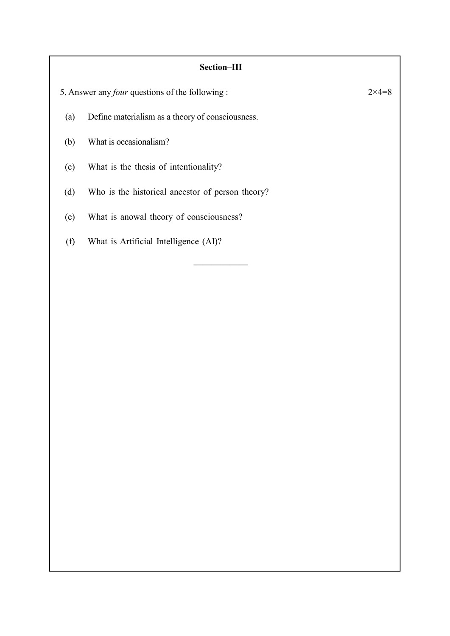## Section–III

5. Answer any *four* questions of the following :  $2 \times 4 = 8$ (a) Define materialism as a theory of consciousness. (b) What is occasionalism? (c) What is the thesis of intentionality? (d) Who is the historical ancestor of person theory? (e) What is anowal theory of consciousness? (f) What is Artificial Intelligence (AI)? ——————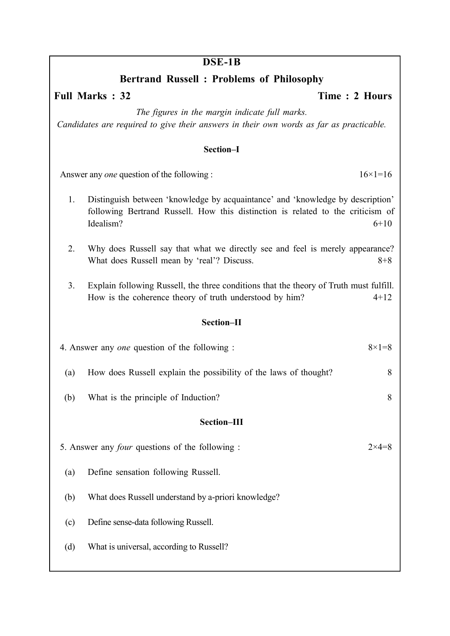## DSE-1B

# Bertrand Russell : Problems of Philosophy

Full Marks : 32 Time : 2 Hours

The figures in the margin indicate full marks. Candidates are required to give their answers in their own words as far as practicable.

#### Section–I

Answer any one question of the following :  $16 \times 1 = 16$ 

- 1. Distinguish between 'knowledge by acquaintance' and 'knowledge by description' following Bertrand Russell. How this distinction is related to the criticism of Idealism?  $6+10$
- 2. Why does Russell say that what we directly see and feel is merely appearance? What does Russell mean by 'real'? Discuss. 8+8
- 3. Explain following Russell, the three conditions that the theory of Truth must fulfill. How is the coherence theory of truth understood by him? 4+12

#### Section–II

| 4. Answer any one question of the following :          |                                                                  | $8 \times 1 = 8$ |
|--------------------------------------------------------|------------------------------------------------------------------|------------------|
| (a)                                                    | How does Russell explain the possibility of the laws of thought? | 8                |
| (b)                                                    | What is the principle of Induction?                              | 8                |
| Section-III                                            |                                                                  |                  |
| 5. Answer any <i>four</i> questions of the following : |                                                                  | $2\times4=8$     |
| (a)                                                    | Define sensation following Russell.                              |                  |
| (b)                                                    | What does Russell understand by a-priori knowledge?              |                  |
| (c)                                                    | Define sense-data following Russell.                             |                  |
| (d)                                                    | What is universal, according to Russell?                         |                  |
|                                                        |                                                                  |                  |